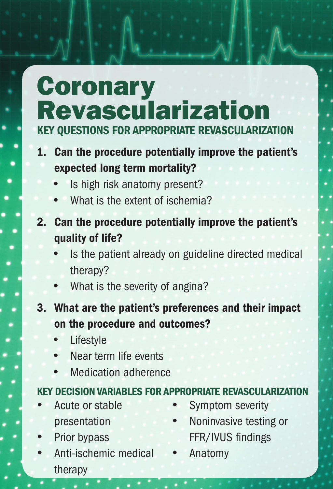# **Coronary** Revascularization Key Questions for Appropriate Revascularization

- 1. Can the procedure potentially improve the patient's expected long term mortality?
	- Is high risk anatomy present?
	- What is the extent of ischemia?
- What is the extent of ischemia?<br>2. Can the procedure potentially improve the patient's<br>mathematic CHCO quality of life?
- Is the patient already on guideline directed medical<br>therapy?<br>• What is the severity of angina? therapy?
	- What is the severity of angina?
- **3 Assumptomatic procedure and outcomes?**<br>• Lifestyle<br>• Near term life events 3. What are the patient's preferences and their impact
	- **Lifestyle**
	- Near term life events
	- Medication adherence

# 4 Preoperative evaluation for low risk surgery Key Decision Variables for Appropriate Revascularization

- Acute or stable presentation
- Prior bypass
- Anti-ischemic medical therapy
- Symptom severity
- • Noninvasive testing or FFR/IVUS findings
- **Anatomy**